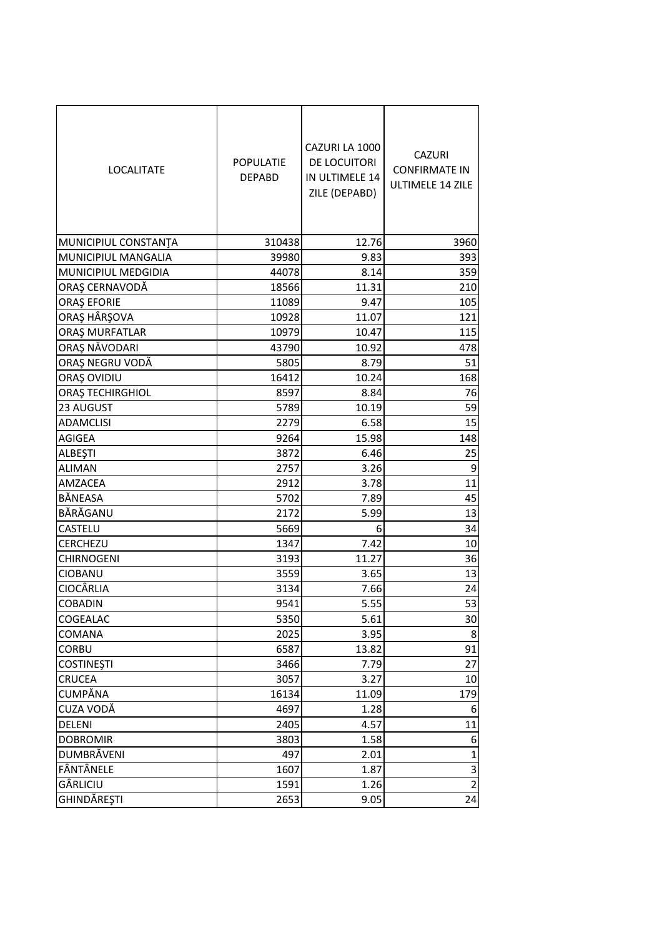| <b>LOCALITATE</b>    | <b>POPULATIE</b><br><b>DEPABD</b> | CAZURI LA 1000<br>DE LOCUITORI<br>IN ULTIMELE 14<br>ZILE (DEPABD) | <b>CAZURI</b><br><b>CONFIRMATE IN</b><br>ULTIMELE 14 ZILE |
|----------------------|-----------------------------------|-------------------------------------------------------------------|-----------------------------------------------------------|
| MUNICIPIUL CONSTANTA | 310438                            | 12.76                                                             | 3960                                                      |
| MUNICIPIUL MANGALIA  | 39980                             | 9.83                                                              | 393                                                       |
| MUNICIPIUL MEDGIDIA  | 44078                             | 8.14                                                              | 359                                                       |
| ORAȘ CERNAVODĂ       | 18566                             | 11.31                                                             | 210                                                       |
| <b>ORAȘ EFORIE</b>   | 11089                             | 9.47                                                              | 105                                                       |
| ORAŞ HÂRŞOVA         | 10928                             | 11.07                                                             | 121                                                       |
| ORAȘ MURFATLAR       | 10979                             | 10.47                                                             | 115                                                       |
| ORAȘ NĂVODARI        | 43790                             | 10.92                                                             | 478                                                       |
| ORAȘ NEGRU VODĂ      | 5805                              | 8.79                                                              | 51                                                        |
| ORAȘ OVIDIU          | 16412                             | 10.24                                                             | 168                                                       |
| ORAȘ TECHIRGHIOL     | 8597                              | 8.84                                                              | 76                                                        |
| 23 AUGUST            | 5789                              | 10.19                                                             | 59                                                        |
| <b>ADAMCLISI</b>     | 2279                              | 6.58                                                              | 15                                                        |
| AGIGEA               | 9264                              | 15.98                                                             | 148                                                       |
| ALBEŞTI              | 3872                              | 6.46                                                              | 25                                                        |
| <b>ALIMAN</b>        | 2757                              | 3.26                                                              | 9                                                         |
| AMZACEA              | 2912                              | 3.78                                                              | 11                                                        |
| BĂNEASA              | 5702                              | 7.89                                                              | 45                                                        |
| BĂRĂGANU             | 2172                              | 5.99                                                              | 13                                                        |
| CASTELU              | 5669                              | 6                                                                 | 34                                                        |
| <b>CERCHEZU</b>      | 1347                              | 7.42                                                              | 10                                                        |
| CHIRNOGENI           | 3193                              | 11.27                                                             | 36                                                        |
| <b>CIOBANU</b>       | 3559                              | 3.65                                                              | 13                                                        |
| <b>CIOCÂRLIA</b>     | 3134                              | 7.66                                                              | 24                                                        |
| <b>COBADIN</b>       | 9541                              | 5.55                                                              | 53                                                        |
| COGEALAC             | 5350                              | 5.61                                                              | 30                                                        |
| COMANA               | 2025                              | 3.95                                                              | 8                                                         |
| <b>CORBU</b>         | 6587                              | 13.82                                                             | 91                                                        |
| <b>COSTINEȘTI</b>    | 3466                              | 7.79                                                              | 27                                                        |
| <b>CRUCEA</b>        | 3057                              | 3.27                                                              | 10                                                        |
| <b>CUMPĂNA</b>       | 16134                             | 11.09                                                             | 179                                                       |
| CUZA VODĂ            | 4697                              | 1.28                                                              | 6                                                         |
| DELENI               | 2405                              | 4.57                                                              | 11                                                        |
| <b>DOBROMIR</b>      | 3803                              | 1.58                                                              | 6                                                         |
| DUMBRĂVENI           | 497                               | 2.01                                                              | 1                                                         |
| FÂNTÂNELE            | 1607                              | 1.87                                                              | 3                                                         |
| GÂRLICIU             | 1591                              | 1.26                                                              | $\overline{2}$                                            |
| GHINDĂREȘTI          | 2653                              | 9.05                                                              | 24                                                        |